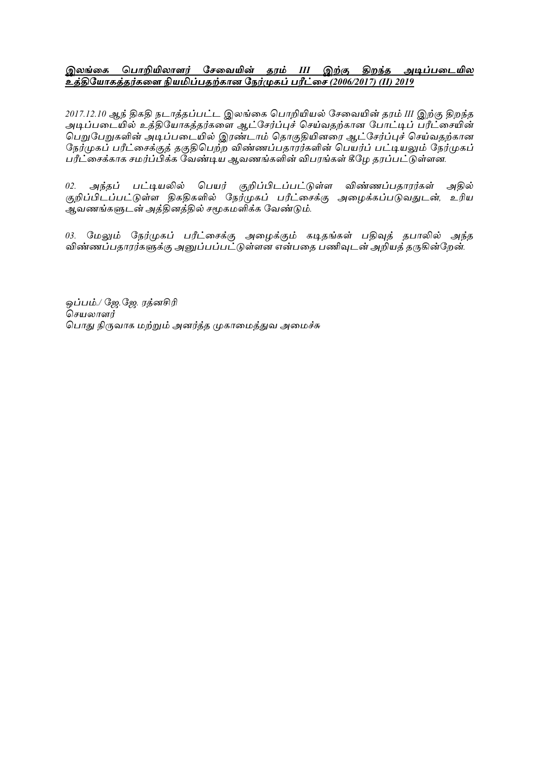## <u>இலங்கை பொறியிலாளர் சேவையின் தரம் III இற்கு திறந்த அடிப்படையில</u> *உத்திசயொைத்தர்ைகள நியமிப் தற்ைொன சேர்முைப் ரீட்கே (2006/2017) (II) 2019*

*2017.12.10 ஆந் திகதி டாத்தப்ட்ட இங்கக பாறியினல் சேகயயின் தபம் III இற்கு திந்த*  <u>அடிப்படையில் உத்தியோகத்தர்களை ஆட்சேர்ப்புச் செய்வதற்</u>கான போட்டிப் பரீட்சையின் .<br>பெறுபேறுகளின் அடிப்படையில் இரண்டாம் தொகுதியினரை ஆட்சேர்ப்புச் செய்வதற்கான நேர்முகப் பரீட்சைக்குத் தகுதிபெற்ற விண்ணப்பதாரர்களின் பெயர்ப் பட்டியலும் நேர்முகப் பரீட்சைக்காக சமர்ப்பிக்க வேண்டிய ஆவணங்களின் விபரங்கள் கீழே தரப்பட்டுள்ளன.

*02. அந்தப் பட்டியலில் பெயர் குறிப்பிடப்பட்டுள்ள விண்ணப்பதாரர்கள் அதில் குறிப்பிடப்ட்டுள் திகதிகளில் சர்முகப் ரீட்கேக்கு அகமக்கப்டுயதுடன், உரின ஆயணங்களுடன் அத்தித்தில் ேமூகநளிக்க சயண்டும்.*

*03. மேலும் நேர்முகப் பரீட்சைக்கு அழைக்கும் கடிதங்கள் பதிவுத் தபாலில் அந்த விண்ணப்பதாரர்களுக்கு அனுப்பப்பட்டுள்ளன என்பதை பணிவுடன் அறியத் தருகின்றேன்.* 

*ஒப்ம்./ சே.சே. பத்சிரி பேனார் பாது நிருயாக நற்றும் அர்த்த முகாகநத்துய அகநச்சு*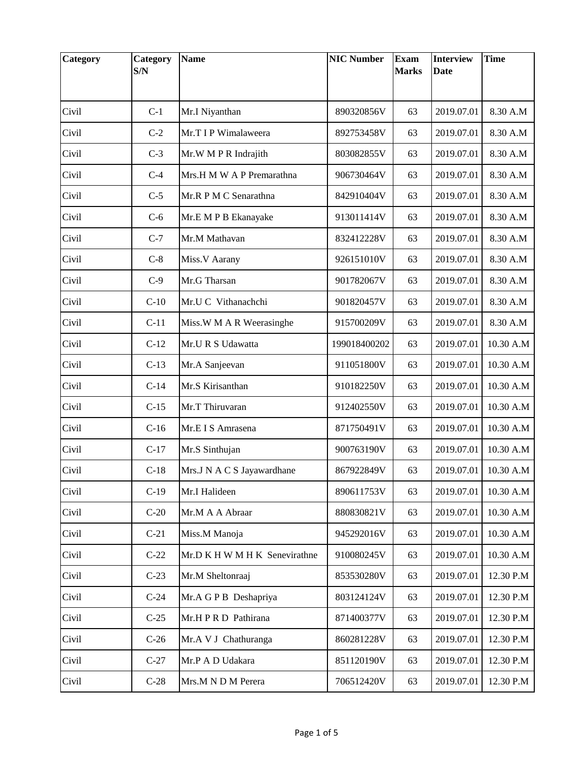| Category | Category<br>S/N | <b>Name</b>                   | <b>NIC Number</b> | <b>Exam</b><br><b>Marks</b> | <b>Interview</b><br><b>Date</b> | <b>Time</b> |
|----------|-----------------|-------------------------------|-------------------|-----------------------------|---------------------------------|-------------|
|          |                 |                               |                   |                             |                                 |             |
| Civil    | $C-1$           | Mr.I Niyanthan                | 890320856V        | 63                          | 2019.07.01                      | 8.30 A.M    |
| Civil    | $C-2$           | Mr.T I P Wimalaweera          | 892753458V        | 63                          | 2019.07.01                      | 8.30 A.M    |
| Civil    | $C-3$           | Mr.W M P R Indrajith          | 803082855V        | 63                          | 2019.07.01                      | 8.30 A.M    |
| Civil    | $C-4$           | Mrs.H M W A P Premarathna     | 906730464V        | 63                          | 2019.07.01                      | 8.30 A.M    |
| Civil    | $C-5$           | Mr.R P M C Senarathna         | 842910404V        | 63                          | 2019.07.01                      | 8.30 A.M    |
| Civil    | $C-6$           | Mr.E M P B Ekanayake          | 913011414V        | 63                          | 2019.07.01                      | 8.30 A.M    |
| Civil    | $C-7$           | Mr.M Mathavan                 | 832412228V        | 63                          | 2019.07.01                      | 8.30 A.M    |
| Civil    | $C-8$           | Miss.V Aarany                 | 926151010V        | 63                          | 2019.07.01                      | 8.30 A.M    |
| Civil    | $C-9$           | Mr.G Tharsan                  | 901782067V        | 63                          | 2019.07.01                      | 8.30 A.M    |
| Civil    | $C-10$          | Mr.U C Vithanachchi           | 901820457V        | 63                          | 2019.07.01                      | 8.30 A.M    |
| Civil    | $C-11$          | Miss.W M A R Weerasinghe      | 915700209V        | 63                          | 2019.07.01                      | 8.30 A.M    |
| Civil    | $C-12$          | Mr.U R S Udawatta             | 199018400202      | 63                          | 2019.07.01                      | 10.30 A.M   |
| Civil    | $C-13$          | Mr.A Sanjeevan                | 911051800V        | 63                          | 2019.07.01                      | 10.30 A.M   |
| Civil    | $C-14$          | Mr.S Kirisanthan              | 910182250V        | 63                          | 2019.07.01                      | 10.30 A.M   |
| Civil    | $C-15$          | Mr.T Thiruvaran               | 912402550V        | 63                          | 2019.07.01                      | 10.30 A.M   |
| Civil    | $C-16$          | Mr.E I S Amrasena             | 871750491V        | 63                          | 2019.07.01                      | 10.30 A.M   |
| Civil    | $C-17$          | Mr.S Sinthujan                | 900763190V        | 63                          | 2019.07.01                      | 10.30 A.M   |
| Civil    | $C-18$          | Mrs.J N A C S Jayawardhane    | 867922849V        | 63                          | 2019.07.01                      | 10.30 A.M   |
| Civil    | $C-19$          | Mr.I Halideen                 | 890611753V        | 63                          | 2019.07.01                      | 10.30 A.M   |
| Civil    | $C-20$          | Mr.M A A Abraar               | 880830821V        | 63                          | 2019.07.01                      | 10.30 A.M   |
| Civil    | $C-21$          | Miss.M Manoja                 | 945292016V        | 63                          | 2019.07.01                      | 10.30 A.M   |
| Civil    | $C-22$          | Mr.D K H W M H K Senevirathne | 910080245V        | 63                          | 2019.07.01                      | 10.30 A.M   |
| Civil    | $C-23$          | Mr.M Sheltonraaj              | 853530280V        | 63                          | 2019.07.01                      | 12.30 P.M   |
| Civil    | $C-24$          | Mr.A G P B Deshapriya         | 803124124V        | 63                          | 2019.07.01                      | 12.30 P.M   |
| Civil    | $C-25$          | Mr.H P R D Pathirana          | 871400377V        | 63                          | 2019.07.01                      | 12.30 P.M   |
| Civil    | $C-26$          | Mr.A V J Chathuranga          | 860281228V        | 63                          | 2019.07.01                      | 12.30 P.M   |
| Civil    | $C-27$          | Mr.P A D Udakara              | 851120190V        | 63                          | 2019.07.01                      | 12.30 P.M   |
| Civil    | $C-28$          | Mrs.M N D M Perera            | 706512420V        | 63                          | 2019.07.01                      | 12.30 P.M   |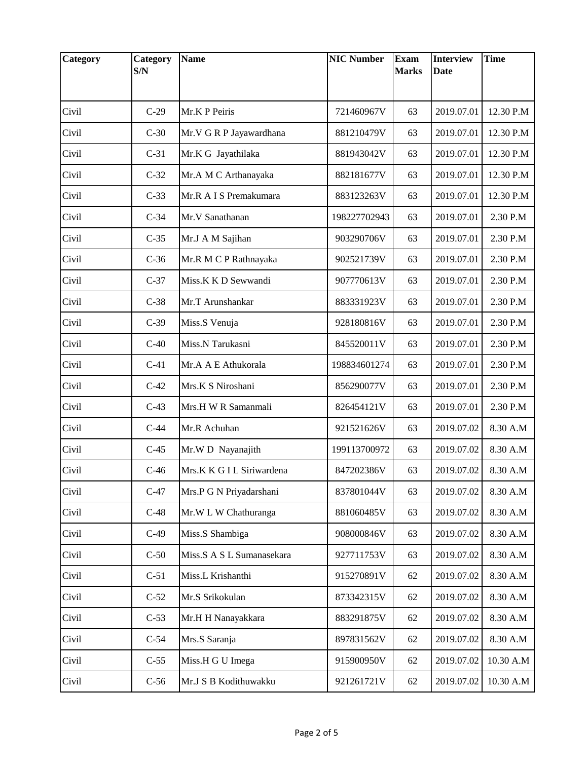| <b>Category</b> | Category<br>S/N | <b>Name</b>               | <b>NIC Number</b> | <b>Exam</b><br><b>Marks</b> | <b>Interview</b><br><b>Date</b> | <b>Time</b> |
|-----------------|-----------------|---------------------------|-------------------|-----------------------------|---------------------------------|-------------|
|                 |                 |                           |                   |                             |                                 |             |
| Civil           | $C-29$          | Mr.K P Peiris             | 721460967V        | 63                          | 2019.07.01                      | 12.30 P.M   |
| Civil           | $C-30$          | Mr.V G R P Jayawardhana   | 881210479V        | 63                          | 2019.07.01                      | 12.30 P.M   |
| Civil           | $C-31$          | Mr.K G Jayathilaka        | 881943042V        | 63                          | 2019.07.01                      | 12.30 P.M   |
| Civil           | $C-32$          | Mr.A M C Arthanayaka      | 882181677V        | 63                          | 2019.07.01                      | 12.30 P.M   |
| Civil           | $C-33$          | Mr.R A I S Premakumara    | 883123263V        | 63                          | 2019.07.01                      | 12.30 P.M   |
| Civil           | $C-34$          | Mr.V Sanathanan           | 198227702943      | 63                          | 2019.07.01                      | 2.30 P.M    |
| Civil           | $C-35$          | Mr.J A M Sajihan          | 903290706V        | 63                          | 2019.07.01                      | 2.30 P.M    |
| Civil           | $C-36$          | Mr.R M C P Rathnayaka     | 902521739V        | 63                          | 2019.07.01                      | 2.30 P.M    |
| Civil           | $C-37$          | Miss.K K D Sewwandi       | 907770613V        | 63                          | 2019.07.01                      | 2.30 P.M    |
| Civil           | $C-38$          | Mr.T Arunshankar          | 883331923V        | 63                          | 2019.07.01                      | 2.30 P.M    |
| Civil           | $C-39$          | Miss.S Venuja             | 928180816V        | 63                          | 2019.07.01                      | 2.30 P.M    |
| Civil           | $C-40$          | Miss.N Tarukasni          | 845520011V        | 63                          | 2019.07.01                      | 2.30 P.M    |
| Civil           | $C-41$          | Mr.A A E Athukorala       | 198834601274      | 63                          | 2019.07.01                      | 2.30 P.M    |
| Civil           | $C-42$          | Mrs.K S Niroshani         | 856290077V        | 63                          | 2019.07.01                      | 2.30 P.M    |
| Civil           | $C-43$          | Mrs.H W R Samanmali       | 826454121V        | 63                          | 2019.07.01                      | 2.30 P.M    |
| Civil           | $C-44$          | Mr.R Achuhan              | 921521626V        | 63                          | 2019.07.02                      | 8.30 A.M    |
| Civil           | $C-45$          | Mr.W D Nayanajith         | 199113700972      | 63                          | 2019.07.02                      | 8.30 A.M    |
| Civil           | $C-46$          | Mrs.K K G I L Siriwardena | 847202386V        | 63                          | 2019.07.02                      | 8.30 A.M    |
| Civil           | $C-47$          | Mrs.P G N Priyadarshani   | 837801044V        | 63                          | 2019.07.02                      | 8.30 A.M    |
| Civil           | $C-48$          | Mr.W L W Chathuranga      | 881060485V        | 63                          | 2019.07.02                      | 8.30 A.M    |
| Civil           | $C-49$          | Miss.S Shambiga           | 908000846V        | 63                          | 2019.07.02                      | 8.30 A.M    |
| Civil           | $C-50$          | Miss.S A S L Sumanasekara | 927711753V        | 63                          | 2019.07.02                      | 8.30 A.M    |
| Civil           | $C-51$          | Miss.L Krishanthi         | 915270891V        | 62                          | 2019.07.02                      | 8.30 A.M    |
| Civil           | $C-52$          | Mr.S Srikokulan           | 873342315V        | 62                          | 2019.07.02                      | 8.30 A.M    |
| Civil           | $C-53$          | Mr.H H Nanayakkara        | 883291875V        | 62                          | 2019.07.02                      | 8.30 A.M    |
| Civil           | $C-54$          | Mrs.S Saranja             | 897831562V        | 62                          | 2019.07.02                      | 8.30 A.M    |
| Civil           | $C-55$          | Miss.H G U Imega          | 915900950V        | 62                          | 2019.07.02                      | 10.30 A.M   |
| Civil           | $C-56$          | Mr.J S B Kodithuwakku     | 921261721V        | 62                          | 2019.07.02                      | 10.30 A.M   |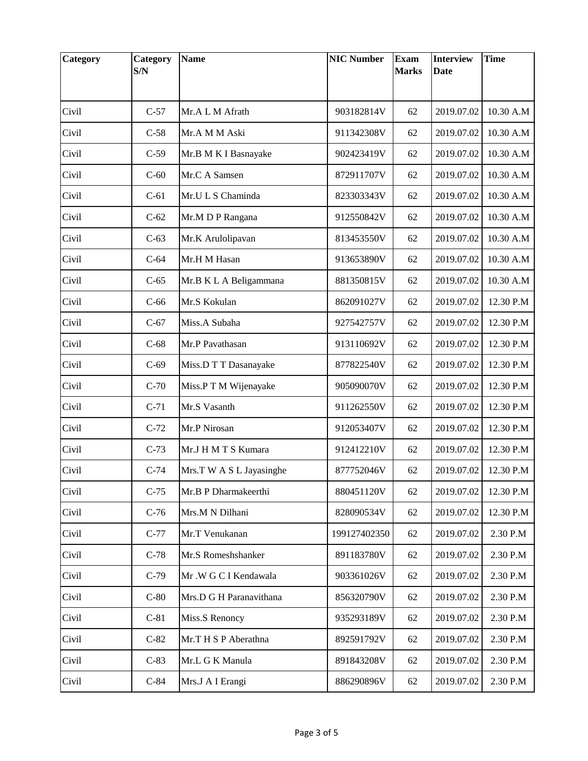| Category | Category<br>S/N | <b>Name</b>              | <b>NIC Number</b> | <b>Exam</b><br><b>Marks</b> | <b>Interview</b><br><b>Date</b> | <b>Time</b> |
|----------|-----------------|--------------------------|-------------------|-----------------------------|---------------------------------|-------------|
|          |                 |                          |                   |                             |                                 |             |
| Civil    | $C-57$          | Mr.A L M Afrath          | 903182814V        | 62                          | 2019.07.02                      | 10.30 A.M   |
| Civil    | $C-58$          | Mr.A M M Aski            | 911342308V        | 62                          | 2019.07.02                      | 10.30 A.M   |
| Civil    | $C-59$          | Mr.B M K I Basnayake     | 902423419V        | 62                          | 2019.07.02                      | 10.30 A.M   |
| Civil    | $C-60$          | Mr.C A Samsen            | 872911707V        | 62                          | 2019.07.02                      | 10.30 A.M   |
| Civil    | $C-61$          | Mr.U L S Chaminda        | 823303343V        | 62                          | 2019.07.02                      | 10.30 A.M   |
| Civil    | $C-62$          | Mr.M D P Rangana         | 912550842V        | 62                          | 2019.07.02                      | 10.30 A.M   |
| Civil    | $C-63$          | Mr.K Arulolipavan        | 813453550V        | 62                          | 2019.07.02                      | 10.30 A.M   |
| Civil    | $C-64$          | Mr.H M Hasan             | 913653890V        | 62                          | 2019.07.02                      | 10.30 A.M   |
| Civil    | $C-65$          | Mr.B K L A Beligammana   | 881350815V        | 62                          | 2019.07.02                      | 10.30 A.M   |
| Civil    | $C-66$          | Mr.S Kokulan             | 862091027V        | 62                          | 2019.07.02                      | 12.30 P.M   |
| Civil    | $C-67$          | Miss.A Subaha            | 927542757V        | 62                          | 2019.07.02                      | 12.30 P.M   |
| Civil    | $C-68$          | Mr.P Pavathasan          | 913110692V        | 62                          | 2019.07.02                      | 12.30 P.M   |
| Civil    | $C-69$          | Miss.D T T Dasanayake    | 877822540V        | 62                          | 2019.07.02                      | 12.30 P.M   |
| Civil    | $C-70$          | Miss.P T M Wijenayake    | 905090070V        | 62                          | 2019.07.02                      | 12.30 P.M   |
| Civil    | $C-71$          | Mr.S Vasanth             | 911262550V        | 62                          | 2019.07.02                      | 12.30 P.M   |
| Civil    | $C-72$          | Mr.P Nirosan             | 912053407V        | 62                          | 2019.07.02                      | 12.30 P.M   |
| Civil    | $C-73$          | Mr.J H M T S Kumara      | 912412210V        | 62                          | 2019.07.02                      | 12.30 P.M   |
| Civil    | $C-74$          | Mrs.T W A S L Jayasinghe | 877752046V        | 62                          | 2019.07.02                      | 12.30 P.M   |
| Civil    | $C-75$          | Mr.B P Dharmakeerthi     | 880451120V        | 62                          | 2019.07.02                      | 12.30 P.M   |
| Civil    | $C-76$          | Mrs.M N Dilhani          | 828090534V        | 62                          | 2019.07.02                      | 12.30 P.M   |
| Civil    | $C-77$          | Mr.T Venukanan           | 199127402350      | 62                          | 2019.07.02                      | 2.30 P.M    |
| Civil    | $C-78$          | Mr.S Romeshshanker       | 891183780V        | 62                          | 2019.07.02                      | 2.30 P.M    |
| Civil    | $C-79$          | Mr.W G C I Kendawala     | 903361026V        | 62                          | 2019.07.02                      | 2.30 P.M    |
| Civil    | $C-80$          | Mrs.D G H Paranavithana  | 856320790V        | 62                          | 2019.07.02                      | 2.30 P.M    |
| Civil    | $C-81$          | Miss.S Renoncy           | 935293189V        | 62                          | 2019.07.02                      | 2.30 P.M    |
| Civil    | $C-82$          | Mr.T H S P Aberathna     | 892591792V        | 62                          | 2019.07.02                      | 2.30 P.M    |
| Civil    | $C-83$          | Mr.L G K Manula          | 891843208V        | 62                          | 2019.07.02                      | 2.30 P.M    |
| Civil    | $C-84$          | Mrs.J A I Erangi         | 886290896V        | 62                          | 2019.07.02                      | 2.30 P.M    |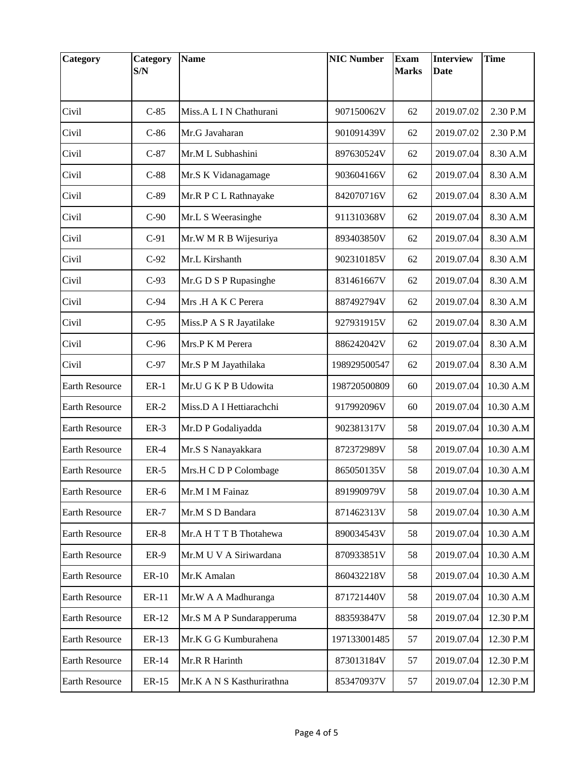| Category              | Category<br>S/N | <b>Name</b>               | <b>NIC Number</b> | <b>Exam</b><br><b>Marks</b> | <b>Interview</b><br><b>Date</b> | <b>Time</b> |
|-----------------------|-----------------|---------------------------|-------------------|-----------------------------|---------------------------------|-------------|
|                       |                 |                           |                   |                             |                                 |             |
| Civil                 | $C-85$          | Miss.A L I N Chathurani   | 907150062V        | 62                          | 2019.07.02                      | 2.30 P.M    |
| Civil                 | $C-86$          | Mr.G Javaharan            | 901091439V        | 62                          | 2019.07.02                      | 2.30 P.M    |
| Civil                 | $C-87$          | Mr.M L Subhashini         | 897630524V        | 62                          | 2019.07.04                      | 8.30 A.M    |
| Civil                 | $C-88$          | Mr.S K Vidanagamage       | 903604166V        | 62                          | 2019.07.04                      | 8.30 A.M    |
| Civil                 | $C-89$          | Mr.R P C L Rathnayake     | 842070716V        | 62                          | 2019.07.04                      | 8.30 A.M    |
| Civil                 | $C-90$          | Mr.L S Weerasinghe        | 911310368V        | 62                          | 2019.07.04                      | 8.30 A.M    |
| Civil                 | $C-91$          | Mr.W M R B Wijesuriya     | 893403850V        | 62                          | 2019.07.04                      | 8.30 A.M    |
| Civil                 | $C-92$          | Mr.L Kirshanth            | 902310185V        | 62                          | 2019.07.04                      | 8.30 A.M    |
| Civil                 | $C-93$          | Mr.G D S P Rupasinghe     | 831461667V        | 62                          | 2019.07.04                      | 8.30 A.M    |
| Civil                 | $C-94$          | Mrs .H A K C Perera       | 887492794V        | 62                          | 2019.07.04                      | 8.30 A.M    |
| Civil                 | $C-95$          | Miss.P A S R Jayatilake   | 927931915V        | 62                          | 2019.07.04                      | 8.30 A.M    |
| Civil                 | $C-96$          | Mrs.P K M Perera          | 886242042V        | 62                          | 2019.07.04                      | 8.30 A.M    |
| Civil                 | $C-97$          | Mr.S P M Jayathilaka      | 198929500547      | 62                          | 2019.07.04                      | 8.30 A.M    |
| <b>Earth Resource</b> | $ER-1$          | Mr.U G K P B Udowita      | 198720500809      | 60                          | 2019.07.04                      | 10.30 A.M   |
| <b>Earth Resource</b> | $ER-2$          | Miss.D A I Hettiarachchi  | 917992096V        | 60                          | 2019.07.04                      | 10.30 A.M   |
| <b>Earth Resource</b> | $ER-3$          | Mr.D P Godaliyadda        | 902381317V        | 58                          | 2019.07.04                      | 10.30 A.M   |
| <b>Earth Resource</b> | $ER-4$          | Mr.S S Nanayakkara        | 872372989V        | 58                          | 2019.07.04                      | 10.30 A.M   |
| <b>Earth Resource</b> | $ER-5$          | Mrs.H C D P Colombage     | 865050135V        | 58                          | 2019.07.04                      | 10.30 A.M   |
| Earth Resource        | $ER-6$          | Mr.M I M Fainaz           | 891990979V        | 58                          | 2019.07.04                      | 10.30 A.M   |
| <b>Earth Resource</b> | $ER-7$          | Mr.M S D Bandara          | 871462313V        | 58                          | 2019.07.04                      | 10.30 A.M   |
| Earth Resource        | $ER-8$          | Mr.A H T T B Thotahewa    | 890034543V        | 58                          | 2019.07.04                      | 10.30 A.M   |
| Earth Resource        | <b>ER-9</b>     | Mr.M U V A Siriwardana    | 870933851V        | 58                          | 2019.07.04                      | 10.30 A.M   |
| <b>Earth Resource</b> | ER-10           | Mr.K Amalan               | 860432218V        | 58                          | 2019.07.04                      | 10.30 A.M   |
| Earth Resource        | ER-11           | Mr.W A A Madhuranga       | 871721440V        | 58                          | 2019.07.04                      | 10.30 A.M   |
| Earth Resource        | ER-12           | Mr.S M A P Sundarapperuma | 883593847V        | 58                          | 2019.07.04                      | 12.30 P.M   |
| <b>Earth Resource</b> | ER-13           | Mr.K G G Kumburahena      | 197133001485      | 57                          | 2019.07.04                      | 12.30 P.M   |
| Earth Resource        | ER-14           | Mr.R R Harinth            | 873013184V        | 57                          | 2019.07.04                      | 12.30 P.M   |
| Earth Resource        | ER-15           | Mr.K A N S Kasthurirathna | 853470937V        | 57                          | 2019.07.04                      | 12.30 P.M   |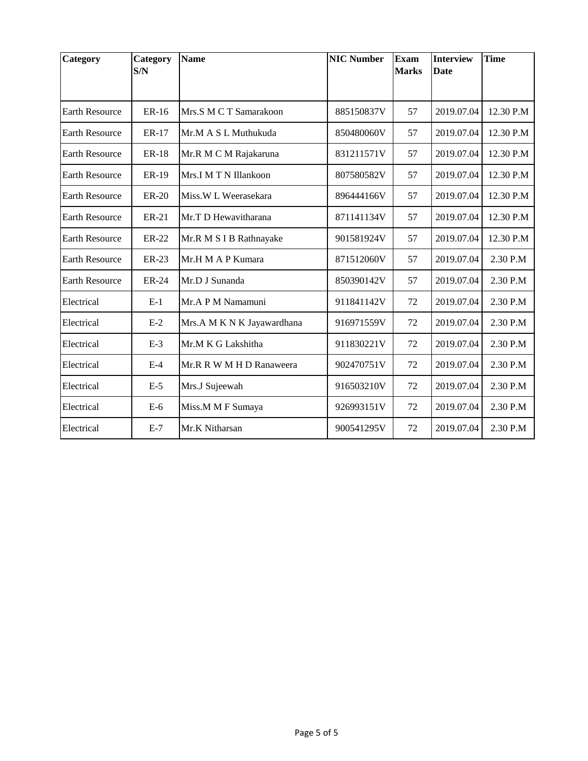| <b>Category</b>       | Category<br>S/N | <b>Name</b>                | <b>NIC Number</b> | <b>Exam</b><br><b>Marks</b> | <b>Interview</b><br><b>Date</b> | <b>Time</b> |
|-----------------------|-----------------|----------------------------|-------------------|-----------------------------|---------------------------------|-------------|
|                       |                 |                            |                   |                             |                                 |             |
| <b>Earth Resource</b> | ER-16           | Mrs.S M C T Samarakoon     | 885150837V        | 57                          | 2019.07.04                      | 12.30 P.M   |
| <b>Earth Resource</b> | <b>ER-17</b>    | Mr.M A S L Muthukuda       | 850480060V        | 57                          | 2019.07.04                      | 12.30 P.M   |
| <b>Earth Resource</b> | <b>ER-18</b>    | Mr.R M C M Rajakaruna      | 831211571V        | 57                          | 2019.07.04                      | 12.30 P.M   |
| <b>Earth Resource</b> | ER-19           | Mrs.I M T N Illankoon      | 807580582V        | 57                          | 2019.07.04                      | 12.30 P.M   |
| <b>Earth Resource</b> | <b>ER-20</b>    | Miss.W L Weerasekara       | 896444166V        | 57                          | 2019.07.04                      | 12.30 P.M   |
| <b>Earth Resource</b> | ER-21           | Mr.T D Hewavitharana       | 871141134V        | 57                          | 2019.07.04                      | 12.30 P.M   |
| <b>Earth Resource</b> | <b>ER-22</b>    | Mr.R M S I B Rathnayake    | 901581924V        | 57                          | 2019.07.04                      | 12.30 P.M   |
| <b>Earth Resource</b> | ER-23           | Mr.H M A P Kumara          | 871512060V        | 57                          | 2019.07.04                      | 2.30 P.M    |
| <b>Earth Resource</b> | ER-24           | Mr.D J Sunanda             | 850390142V        | 57                          | 2019.07.04                      | 2.30 P.M    |
| Electrical            | $E-1$           | Mr.A P M Namamuni          | 911841142V        | 72                          | 2019.07.04                      | 2.30 P.M    |
| Electrical            | $E-2$           | Mrs.A M K N K Jayawardhana | 916971559V        | 72                          | 2019.07.04                      | 2.30 P.M    |
| Electrical            | $E-3$           | Mr.M K G Lakshitha         | 911830221V        | 72                          | 2019.07.04                      | 2.30 P.M    |
| Electrical            | $E-4$           | Mr.R R W M H D Ranaweera   | 902470751V        | 72                          | 2019.07.04                      | 2.30 P.M    |
| Electrical            | $E-5$           | Mrs.J Sujeewah             | 916503210V        | 72                          | 2019.07.04                      | 2.30 P.M    |
| Electrical            | $E-6$           | Miss.M M F Sumaya          | 926993151V        | 72                          | 2019.07.04                      | 2.30 P.M    |
| Electrical            | $E-7$           | Mr.K Nitharsan             | 900541295V        | 72                          | 2019.07.04                      | 2.30 P.M    |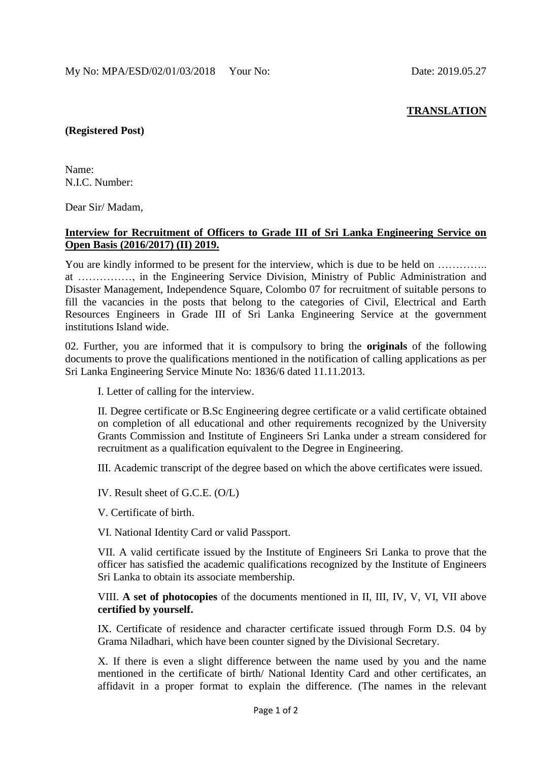## **TRANSLATION**

## **(Registered Post)**

Name: N.I.C. Number:

Dear Sir/ Madam,

## **Interview for Recruitment of Officers to Grade III of Sri Lanka Engineering Service on Open Basis (2016/2017) (II) 2019.**

You are kindly informed to be present for the interview, which is due to be held on .............. at ……………, in the Engineering Service Division, Ministry of Public Administration and Disaster Management, Independence Square, Colombo 07 for recruitment of suitable persons to fill the vacancies in the posts that belong to the categories of Civil, Electrical and Earth Resources Engineers in Grade III of Sri Lanka Engineering Service at the government institutions Island wide.

02. Further, you are informed that it is compulsory to bring the **originals** of the following documents to prove the qualifications mentioned in the notification of calling applications as per Sri Lanka Engineering Service Minute No: 1836/6 dated 11.11.2013.

I. Letter of calling for the interview.

II. Degree certificate or B.Sc Engineering degree certificate or a valid certificate obtained on completion of all educational and other requirements recognized by the University Grants Commission and Institute of Engineers Sri Lanka under a stream considered for recruitment as a qualification equivalent to the Degree in Engineering.

III. Academic transcript of the degree based on which the above certificates were issued.

IV. Result sheet of G.C.E. (O/L)

V. Certificate of birth.

VI. National Identity Card or valid Passport.

VII. A valid certificate issued by the Institute of Engineers Sri Lanka to prove that the officer has satisfied the academic qualifications recognized by the Institute of Engineers Sri Lanka to obtain its associate membership.

VIII. **A set of photocopies** of the documents mentioned in II, III, IV, V, VI, VII above **certified by yourself.**

IX. Certificate of residence and character certificate issued through Form D.S. 04 by Grama Niladhari, which have been counter signed by the Divisional Secretary.

X. If there is even a slight difference between the name used by you and the name mentioned in the certificate of birth/ National Identity Card and other certificates, an affidavit in a proper format to explain the difference. (The names in the relevant